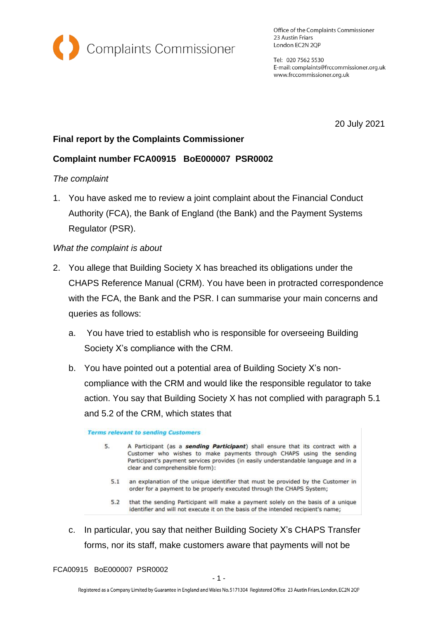

Office of the Complaints Commissioner 23 Austin Friars London EC2N 2QP

Tel: 020 7562 5530 E-mail: complaints@frccommissioner.org.uk www.frccommissioner.org.uk

20 July 2021

# **Final report by the Complaints Commissioner**

# **Complaint number FCA00915 BoE000007 PSR0002**

# *The complaint*

1. You have asked me to review a joint complaint about the Financial Conduct Authority (FCA), the Bank of England (the Bank) and the Payment Systems Regulator (PSR).

# *What the complaint is about*

- 2. You allege that Building Society X has breached its obligations under the CHAPS Reference Manual (CRM). You have been in protracted correspondence with the FCA, the Bank and the PSR. I can summarise your main concerns and queries as follows:
	- a. You have tried to establish who is responsible for overseeing Building Society X's compliance with the CRM.
	- b. You have pointed out a potential area of Building Society X's noncompliance with the CRM and would like the responsible regulator to take action. You say that Building Society X has not complied with paragraph 5.1 and 5.2 of the CRM, which states that

**Terms relevant to sending Customers** 

- $5<sup>1</sup>$ A Participant (as a sending Participant) shall ensure that its contract with a Customer who wishes to make payments through CHAPS using the sending Participant's payment services provides (in easily understandable language and in a clear and comprehensible form):
	- 5.1 an explanation of the unique identifier that must be provided by the Customer in order for a payment to be properly executed through the CHAPS System;
	- 5.2 that the sending Participant will make a payment solely on the basis of a unique identifier and will not execute it on the basis of the intended recipient's name;
- c. In particular, you say that neither Building Society X's CHAPS Transfer forms, nor its staff, make customers aware that payments will not be

FCA00915 BoE000007 PSR0002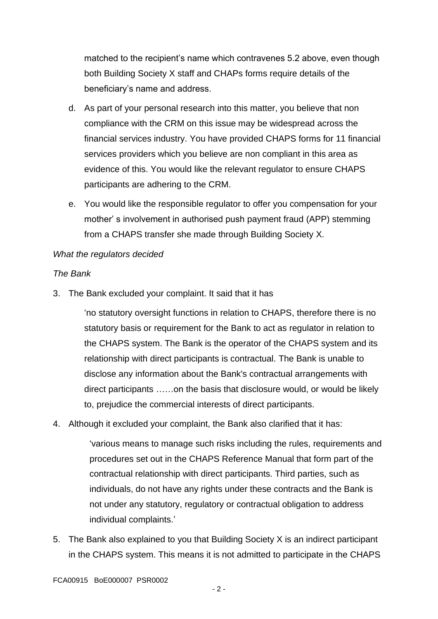matched to the recipient's name which contravenes 5.2 above, even though both Building Society X staff and CHAPs forms require details of the beneficiary's name and address.

- d. As part of your personal research into this matter, you believe that non compliance with the CRM on this issue may be widespread across the financial services industry. You have provided CHAPS forms for 11 financial services providers which you believe are non compliant in this area as evidence of this. You would like the relevant regulator to ensure CHAPS participants are adhering to the CRM.
- e. You would like the responsible regulator to offer you compensation for your mother' s involvement in authorised push payment fraud (APP) stemming from a CHAPS transfer she made through Building Society X.

#### *What the regulators decided*

#### *The Bank*

3. The Bank excluded your complaint. It said that it has

'no statutory oversight functions in relation to CHAPS, therefore there is no statutory basis or requirement for the Bank to act as regulator in relation to the CHAPS system. The Bank is the operator of the CHAPS system and its relationship with direct participants is contractual. The Bank is unable to disclose any information about the Bank's contractual arrangements with direct participants ……on the basis that disclosure would, or would be likely to, prejudice the commercial interests of direct participants.

4. Although it excluded your complaint, the Bank also clarified that it has:

'various means to manage such risks including the rules, requirements and procedures set out in the CHAPS Reference Manual that form part of the contractual relationship with direct participants. Third parties, such as individuals, do not have any rights under these contracts and the Bank is not under any statutory, regulatory or contractual obligation to address individual complaints.'

5. The Bank also explained to you that Building Society X is an indirect participant in the CHAPS system. This means it is not admitted to participate in the CHAPS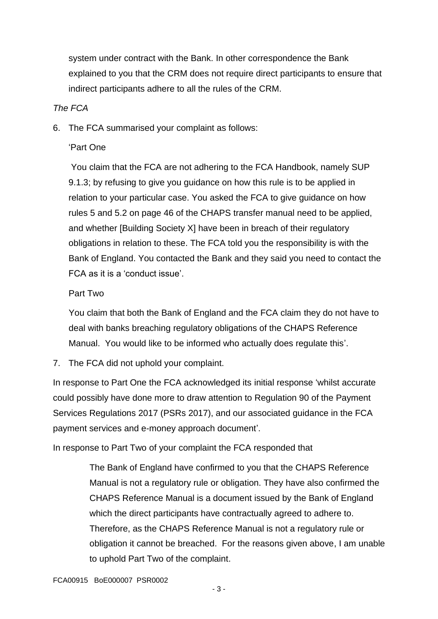system under contract with the Bank. In other correspondence the Bank explained to you that the CRM does not require direct participants to ensure that indirect participants adhere to all the rules of the CRM.

### *The FCA*

6. The FCA summarised your complaint as follows:

# 'Part One

You claim that the FCA are not adhering to the FCA Handbook, namely SUP 9.1.3; by refusing to give you guidance on how this rule is to be applied in relation to your particular case. You asked the FCA to give guidance on how rules 5 and 5.2 on page 46 of the CHAPS transfer manual need to be applied, and whether [Building Society X] have been in breach of their regulatory obligations in relation to these. The FCA told you the responsibility is with the Bank of England. You contacted the Bank and they said you need to contact the FCA as it is a 'conduct issue'.

# Part Two

You claim that both the Bank of England and the FCA claim they do not have to deal with banks breaching regulatory obligations of the CHAPS Reference Manual. You would like to be informed who actually does regulate this'.

7. The FCA did not uphold your complaint.

In response to Part One the FCA acknowledged its initial response 'whilst accurate could possibly have done more to draw attention to Regulation 90 of the Payment Services Regulations 2017 (PSRs 2017), and our associated guidance in the FCA payment services and e-money approach document'.

In response to Part Two of your complaint the FCA responded that

The Bank of England have confirmed to you that the CHAPS Reference Manual is not a regulatory rule or obligation. They have also confirmed the CHAPS Reference Manual is a document issued by the Bank of England which the direct participants have contractually agreed to adhere to. Therefore, as the CHAPS Reference Manual is not a regulatory rule or obligation it cannot be breached. For the reasons given above, I am unable to uphold Part Two of the complaint.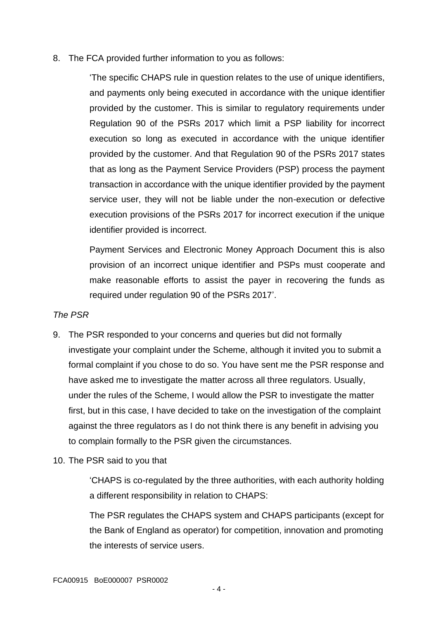#### 8. The FCA provided further information to you as follows:

'The specific CHAPS rule in question relates to the use of unique identifiers, and payments only being executed in accordance with the unique identifier provided by the customer. This is similar to regulatory requirements under Regulation 90 of the PSRs 2017 which limit a PSP liability for incorrect execution so long as executed in accordance with the unique identifier provided by the customer. And that Regulation 90 of the PSRs 2017 states that as long as the Payment Service Providers (PSP) process the payment transaction in accordance with the unique identifier provided by the payment service user, they will not be liable under the non-execution or defective execution provisions of the PSRs 2017 for incorrect execution if the unique identifier provided is incorrect.

Payment Services and Electronic Money Approach Document this is also provision of an incorrect unique identifier and PSPs must cooperate and make reasonable efforts to assist the payer in recovering the funds as required under regulation 90 of the PSRs 2017'.

### *The PSR*

- 9. The PSR responded to your concerns and queries but did not formally investigate your complaint under the Scheme, although it invited you to submit a formal complaint if you chose to do so. You have sent me the PSR response and have asked me to investigate the matter across all three regulators. Usually, under the rules of the Scheme, I would allow the PSR to investigate the matter first, but in this case, I have decided to take on the investigation of the complaint against the three regulators as I do not think there is any benefit in advising you to complain formally to the PSR given the circumstances.
- 10. The PSR said to you that

'CHAPS is co-regulated by the three authorities, with each authority holding a different responsibility in relation to CHAPS:

The PSR regulates the CHAPS system and CHAPS participants (except for the Bank of England as operator) for competition, innovation and promoting the interests of service users.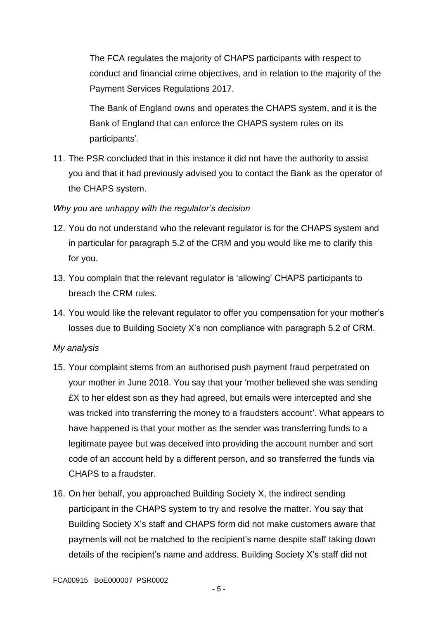The FCA regulates the majority of CHAPS participants with respect to conduct and financial crime objectives, and in relation to the majority of the Payment Services Regulations 2017.

The Bank of England owns and operates the CHAPS system, and it is the Bank of England that can enforce the CHAPS system rules on its participants'.

11. The PSR concluded that in this instance it did not have the authority to assist you and that it had previously advised you to contact the Bank as the operator of the CHAPS system.

### *Why you are unhappy with the regulator's decision*

- 12. You do not understand who the relevant regulator is for the CHAPS system and in particular for paragraph 5.2 of the CRM and you would like me to clarify this for you.
- 13. You complain that the relevant regulator is 'allowing' CHAPS participants to breach the CRM rules.
- 14. You would like the relevant regulator to offer you compensation for your mother's losses due to Building Society X's non compliance with paragraph 5.2 of CRM.

### *My analysis*

- 15. Your complaint stems from an authorised push payment fraud perpetrated on your mother in June 2018. You say that your 'mother believed she was sending £X to her eldest son as they had agreed, but emails were intercepted and she was tricked into transferring the money to a fraudsters account'. What appears to have happened is that your mother as the sender was transferring funds to a legitimate payee but was deceived into providing the account number and sort code of an account held by a different person, and so transferred the funds via CHAPS to a fraudster.
- 16. On her behalf, you approached Building Society X, the indirect sending participant in the CHAPS system to try and resolve the matter. You say that Building Society X's staff and CHAPS form did not make customers aware that payments will not be matched to the recipient's name despite staff taking down details of the recipient's name and address. Building Society X's staff did not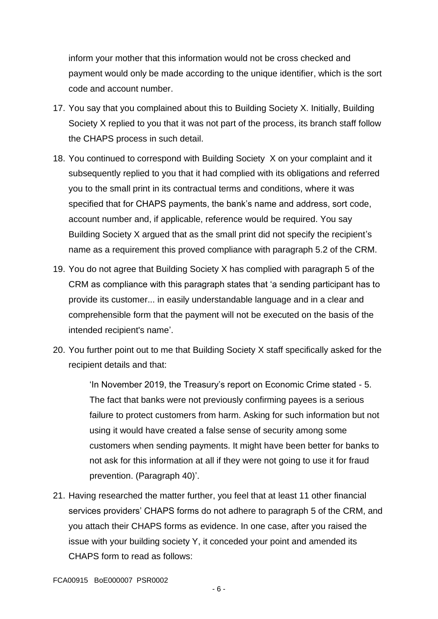inform your mother that this information would not be cross checked and payment would only be made according to the unique identifier, which is the sort code and account number.

- 17. You say that you complained about this to Building Society X. Initially, Building Society X replied to you that it was not part of the process, its branch staff follow the CHAPS process in such detail.
- 18. You continued to correspond with Building Society X on your complaint and it subsequently replied to you that it had complied with its obligations and referred you to the small print in its contractual terms and conditions, where it was specified that for CHAPS payments, the bank's name and address, sort code, account number and, if applicable, reference would be required. You say Building Society X argued that as the small print did not specify the recipient's name as a requirement this proved compliance with paragraph 5.2 of the CRM.
- 19. You do not agree that Building Society X has complied with paragraph 5 of the CRM as compliance with this paragraph states that 'a sending participant has to provide its customer... in easily understandable language and in a clear and comprehensible form that the payment will not be executed on the basis of the intended recipient's name'.
- 20. You further point out to me that Building Society X staff specifically asked for the recipient details and that:

'In November 2019, the Treasury's report on Economic Crime stated - 5. The fact that banks were not previously confirming payees is a serious failure to protect customers from harm. Asking for such information but not using it would have created a false sense of security among some customers when sending payments. It might have been better for banks to not ask for this information at all if they were not going to use it for fraud prevention. (Paragraph 40)'.

21. Having researched the matter further, you feel that at least 11 other financial services providers' CHAPS forms do not adhere to paragraph 5 of the CRM, and you attach their CHAPS forms as evidence. In one case, after you raised the issue with your building society Y, it conceded your point and amended its CHAPS form to read as follows: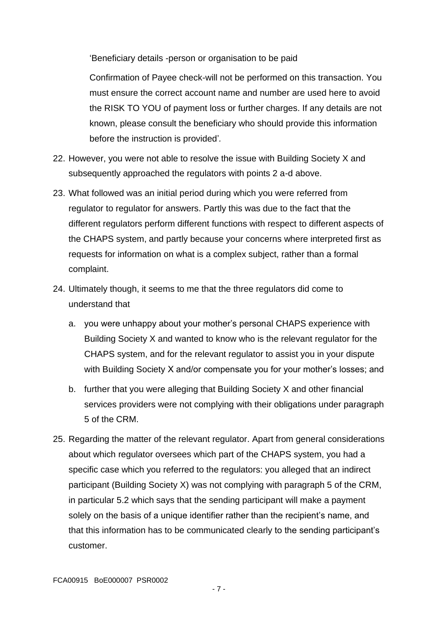'Beneficiary details -person or organisation to be paid

Confirmation of Payee check-will not be performed on this transaction. You must ensure the correct account name and number are used here to avoid the RISK TO YOU of payment loss or further charges. If any details are not known, please consult the beneficiary who should provide this information before the instruction is provided'*.*

- 22. However, you were not able to resolve the issue with Building Society X and subsequently approached the regulators with points 2 a-d above.
- 23. What followed was an initial period during which you were referred from regulator to regulator for answers. Partly this was due to the fact that the different regulators perform different functions with respect to different aspects of the CHAPS system, and partly because your concerns where interpreted first as requests for information on what is a complex subject, rather than a formal complaint.
- 24. Ultimately though, it seems to me that the three regulators did come to understand that
	- a. you were unhappy about your mother's personal CHAPS experience with Building Society X and wanted to know who is the relevant regulator for the CHAPS system, and for the relevant regulator to assist you in your dispute with Building Society X and/or compensate you for your mother's losses; and
	- b. further that you were alleging that Building Society X and other financial services providers were not complying with their obligations under paragraph 5 of the CRM.
- 25. Regarding the matter of the relevant regulator. Apart from general considerations about which regulator oversees which part of the CHAPS system, you had a specific case which you referred to the regulators: you alleged that an indirect participant (Building Society X) was not complying with paragraph 5 of the CRM, in particular 5.2 which says that the sending participant will make a payment solely on the basis of a unique identifier rather than the recipient's name, and that this information has to be communicated clearly to the sending participant's customer.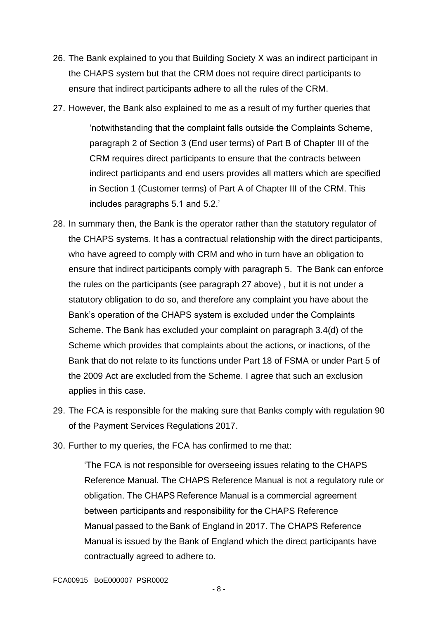- 26. The Bank explained to you that Building Society X was an indirect participant in the CHAPS system but that the CRM does not require direct participants to ensure that indirect participants adhere to all the rules of the CRM.
- 27. However, the Bank also explained to me as a result of my further queries that

'notwithstanding that the complaint falls outside the Complaints Scheme, paragraph 2 of Section 3 (End user terms) of Part B of Chapter III of the CRM requires direct participants to ensure that the contracts between indirect participants and end users provides all matters which are specified in Section 1 (Customer terms) of Part A of Chapter III of the CRM. This includes paragraphs 5.1 and 5.2.'

- 28. In summary then, the Bank is the operator rather than the statutory regulator of the CHAPS systems. It has a contractual relationship with the direct participants, who have agreed to comply with CRM and who in turn have an obligation to ensure that indirect participants comply with paragraph 5. The Bank can enforce the rules on the participants (see paragraph 27 above) , but it is not under a statutory obligation to do so, and therefore any complaint you have about the Bank's operation of the CHAPS system is excluded under the Complaints Scheme. The Bank has excluded your complaint on paragraph 3.4(d) of the Scheme which provides that complaints about the actions, or inactions, of the Bank that do not relate to its functions under Part 18 of FSMA or under Part 5 of the 2009 Act are excluded from the Scheme. I agree that such an exclusion applies in this case.
- 29. The FCA is responsible for the making sure that Banks comply with regulation 90 of the Payment Services Regulations 2017.
- 30. Further to my queries, the FCA has confirmed to me that:

'The FCA is not responsible for overseeing issues relating to the CHAPS Reference Manual. The CHAPS Reference Manual is not a regulatory rule or obligation. The CHAPS Reference Manual is a commercial agreement between participants and responsibility for the CHAPS Reference Manual passed to the Bank of England in 2017. The CHAPS Reference Manual is issued by the Bank of England which the direct participants have contractually agreed to adhere to.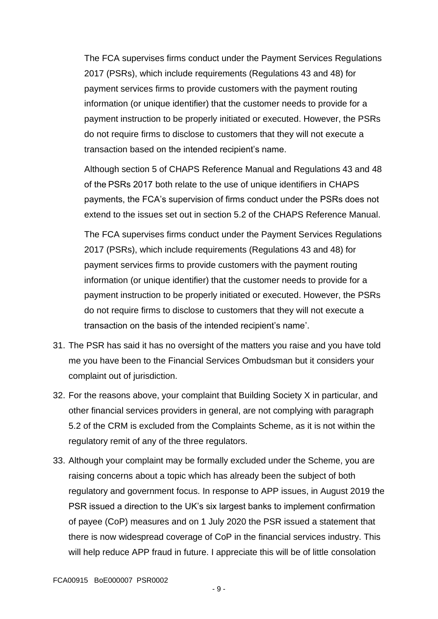The FCA supervises firms conduct under the Payment Services Regulations 2017 (PSRs), which include requirements (Regulations 43 and 48) for payment services firms to provide customers with the payment routing information (or unique identifier) that the customer needs to provide for a payment instruction to be properly initiated or executed. However, the PSRs do not require firms to disclose to customers that they will not execute a transaction based on the intended recipient's name.

Although section 5 of CHAPS Reference Manual and Regulations 43 and 48 of the PSRs 2017 both relate to the use of unique identifiers in CHAPS payments, the FCA's supervision of firms conduct under the PSRs does not extend to the issues set out in section 5.2 of the CHAPS Reference Manual.

The FCA supervises firms conduct under the Payment Services Regulations 2017 (PSRs), which include requirements (Regulations 43 and 48) for payment services firms to provide customers with the payment routing information (or unique identifier) that the customer needs to provide for a payment instruction to be properly initiated or executed. However, the PSRs do not require firms to disclose to customers that they will not execute a transaction on the basis of the intended recipient's name'.

- 31. The PSR has said it has no oversight of the matters you raise and you have told me you have been to the Financial Services Ombudsman but it considers your complaint out of jurisdiction.
- 32. For the reasons above, your complaint that Building Society X in particular, and other financial services providers in general, are not complying with paragraph 5.2 of the CRM is excluded from the Complaints Scheme, as it is not within the regulatory remit of any of the three regulators.
- 33. Although your complaint may be formally excluded under the Scheme, you are raising concerns about a topic which has already been the subject of both regulatory and government focus. In response to APP issues, in August 2019 the PSR issued a direction to the UK's six largest banks to implement confirmation of payee (CoP) measures and on 1 July 2020 the PSR issued a statement that there is now widespread coverage of CoP in the financial services industry. This will help reduce APP fraud in future. I appreciate this will be of little consolation